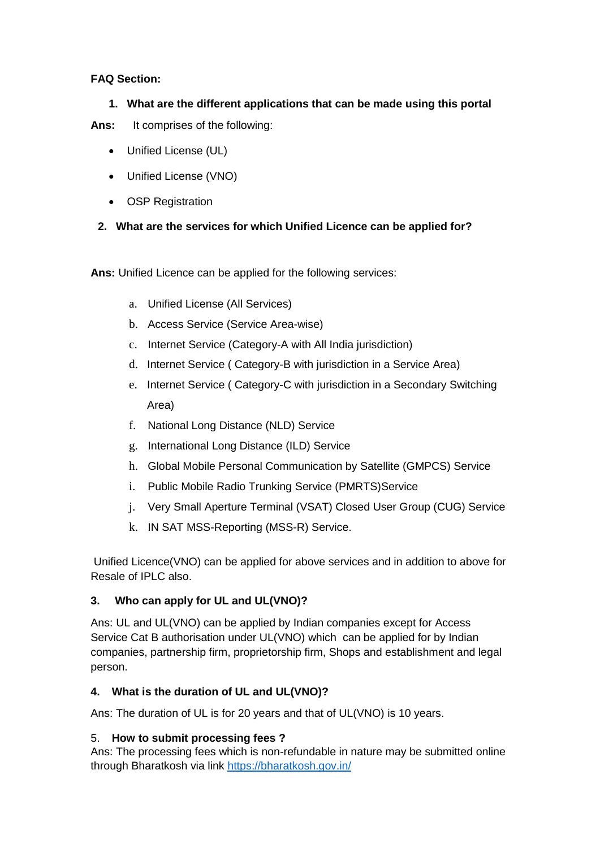## **FAQ Section:**

# **1. What are the different applications that can be made using this portal**

**Ans:** It comprises of the following:

- Unified License (UL)
- Unified License (VNO)
- OSP Registration

# **2. What are the services for which Unified Licence can be applied for?**

**Ans:** Unified Licence can be applied for the following services:

- a. Unified License (All Services)
- b. Access Service (Service Area-wise)
- c. Internet Service (Category-A with All India jurisdiction)
- d. Internet Service ( Category-B with jurisdiction in a Service Area)
- e. Internet Service ( Category-C with jurisdiction in a Secondary Switching Area)
- f. National Long Distance (NLD) Service
- g. International Long Distance (ILD) Service
- h. Global Mobile Personal Communication by Satellite (GMPCS) Service
- i. Public Mobile Radio Trunking Service (PMRTS)Service
- j. Very Small Aperture Terminal (VSAT) Closed User Group (CUG) Service
- k. IN SAT MSS-Reporting (MSS-R) Service.

Unified Licence(VNO) can be applied for above services and in addition to above for Resale of IPLC also.

# **3. Who can apply for UL and UL(VNO)?**

Ans: UL and UL(VNO) can be applied by Indian companies except for Access Service Cat B authorisation under UL(VNO) which can be applied for by Indian companies, partnership firm, proprietorship firm, Shops and establishment and legal person.

# **4. What is the duration of UL and UL(VNO)?**

Ans: The duration of UL is for 20 years and that of UL(VNO) is 10 years.

### 5. **How to submit processing fees ?**

Ans: The processing fees which is non-refundable in nature may be submitted online through Bharatkosh via link<https://bharatkosh.gov.in/>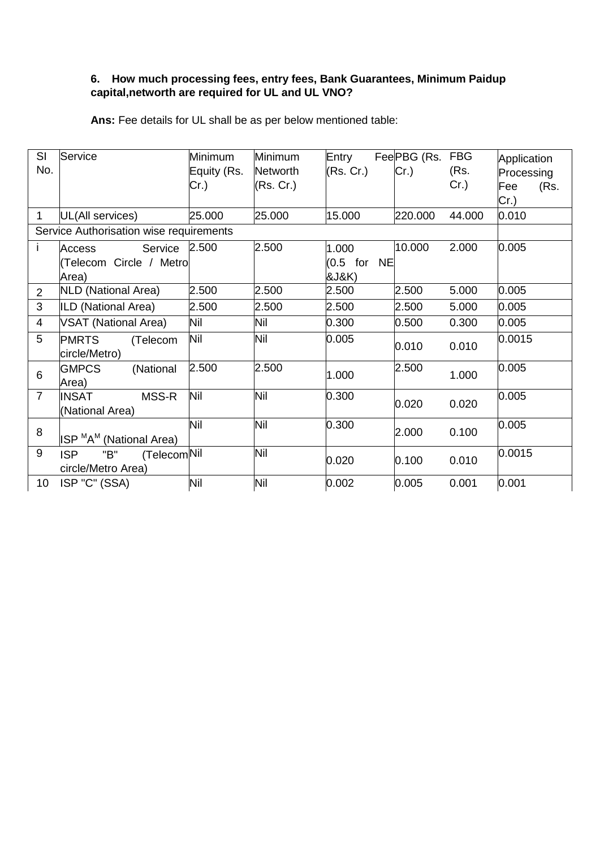# **6. How much processing fees, entry fees, Bank Guarantees, Minimum Paidup capital,networth are required for UL and UL VNO?**

| SI<br>No.      | Service                                                | Minimum<br>Equity (Rs.<br>Cr.) | Minimum<br><b>Networth</b><br>(Rs. Cr.) | Entry<br>(Rs. Cr.)               | Fee PBG (Rs. FBG<br>Cr.) | (Rs.<br>$Cr.$ ) | Application<br>Processing<br>Fee<br>(Rs.<br>Cr.) |
|----------------|--------------------------------------------------------|--------------------------------|-----------------------------------------|----------------------------------|--------------------------|-----------------|--------------------------------------------------|
| $\mathbf{1}$   | UL(All services)                                       | 25.000                         | 25.000                                  | 15.000                           | 220.000                  | 44.000          | 0.010                                            |
|                | Service Authorisation wise requirements                |                                |                                         |                                  |                          |                 |                                                  |
| Ť              | Service<br>Access<br>(Telecom Circle / Metro<br>Area)  | 2.500                          | 2.500                                   | 1.000<br>$(0.5)$ for NE<br>&J&K) | 10.000                   | 2.000           | 0.005                                            |
| $\overline{2}$ | NLD (National Area)                                    | 2.500                          | 2.500                                   | 2.500                            | 2.500                    | 5.000           | 0.005                                            |
| 3              | ILD (National Area)                                    | 2.500                          | 2.500                                   | 2.500                            | 2.500                    | 5.000           | 0.005                                            |
| $\overline{4}$ | <b>VSAT (National Area)</b>                            | Nil                            | Nil                                     | 0.300                            | 0.500                    | 0.300           | 0.005                                            |
| 5              | <b>PMRTS</b><br>(Telecom<br>circle/Metro)              | Nil                            | Nil                                     | 0.005                            | 0.010                    | 0.010           | 0.0015                                           |
| 6              | <b>GMPCS</b><br>(National<br>Area)                     | 2.500                          | 2.500                                   | 1.000                            | 2.500                    | 1.000           | 0.005                                            |
| $\overline{7}$ | MSS-R<br><b>INSAT</b><br>(National Area)               | Nil                            | Nil                                     | 0.300                            | 0.020                    | 0.020           | 0.005                                            |
| 8              | ISP <sup>M</sup> A <sup>M</sup> (National Area)        | Nil                            | Nil                                     | 0.300                            | 2.000                    | 0.100           | 0.005                                            |
| 9              | (TelecomNil<br><b>ISP</b><br>"B"<br>circle/Metro Area) |                                | Nil                                     | 0.020                            | 0.100                    | 0.010           | 0.0015                                           |
| 10             | ISP "C" (SSA)                                          | Nil                            | Nil                                     | 0.002                            | 0.005                    | 0.001           | 0.001                                            |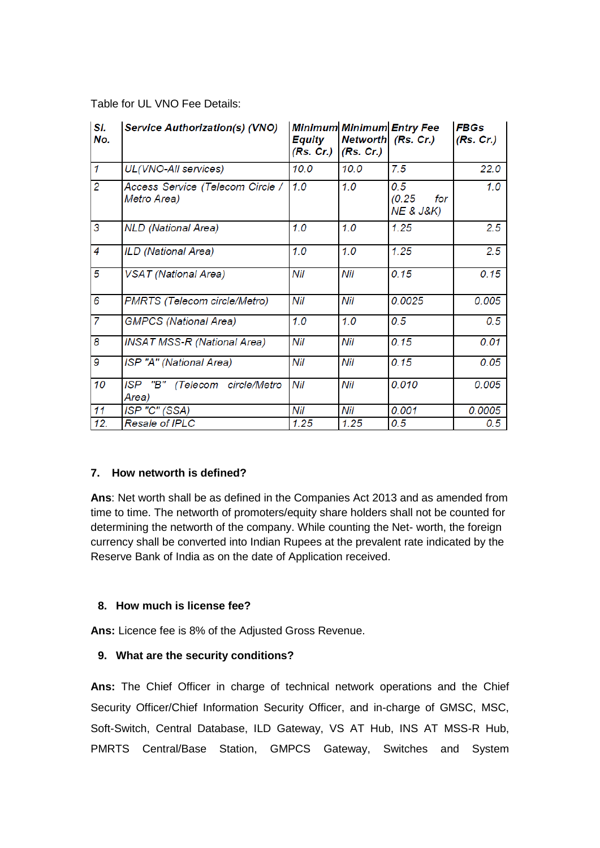#### Table for UL VNO Fee Details:

| SI.<br>No.     | <b>Service Authorization(s) (VNO)</b>           | <b>Equity</b><br>(Rs. Cr.) | (Rs. Cr.) | <b>Minimum Minimum Entry Fee</b><br>Networth (Rs. Cr.) | <b>FBGs</b><br>(Rs. Cr.) |
|----------------|-------------------------------------------------|----------------------------|-----------|--------------------------------------------------------|--------------------------|
| $\mathcal I$   | UL(VNO-All services)                            | 10.0                       | 10.0      | 7.5                                                    | 22.0                     |
| $\overline{c}$ | Access Service (Telecom Circle /<br>Metro Area) | 1.0                        | 1.0       | 0.5<br>(0.25)<br>for<br><b>NE &amp; J&amp;K)</b>       | 1.0                      |
| 3              | <b>NLD</b> (National Area)                      | 1.0                        | 1.0       | 1.25                                                   | 2.5                      |
| 4              | ILD (National Area)                             | 1.0                        | 1.0       | 1.25                                                   | 2.5                      |
| 5              | <b>VSAT</b> (National Area)                     | Nil                        | Nil       | 0.15                                                   | 0.15                     |
| 6              | PMRTS (Telecom circle/Metro)                    | Nil                        | Nil       | 0.0025                                                 | 0.005                    |
| 7              | <b>GMPCS</b> (National Area)                    | 1.0                        | 1.0       | 0.5                                                    | 0.5                      |
| 8              | <b>INSAT MSS-R (National Area)</b>              | Nil                        | Nil       | 0.15                                                   | 0.01                     |
| 9              | ISP "A" (National Area)                         | Nil                        | Nil       | 0.15                                                   | 0.05                     |
| 10             | "B" (Telecom circle/Metro<br>ISP<br>Area)       | Nil                        | Nil       | 0.010                                                  | 0.005                    |
| 11             | ISP "C" (SSA)                                   | Nil                        | Nil       | 0.001                                                  | 0.0005                   |
| 12.            | <b>Resale of IPLC</b>                           | 1.25                       | 1.25      | 0.5                                                    | 0.5                      |

#### **7. How networth is defined?**

**Ans**: Net worth shall be as defined in the Companies Act 2013 and as amended from time to time. The networth of promoters/equity share holders shall not be counted for determining the networth of the company. While counting the Net- worth, the foreign currency shall be converted into Indian Rupees at the prevalent rate indicated by the Reserve Bank of India as on the date of Application received.

#### **8. How much is license fee?**

**Ans:** Licence fee is 8% of the Adjusted Gross Revenue.

### **9. What are the security conditions?**

**Ans:** The Chief Officer in charge of technical network operations and the Chief Security Officer/Chief Information Security Officer, and in-charge of GMSC, MSC, Soft-Switch, Central Database, ILD Gateway, VS AT Hub, INS AT MSS-R Hub, PMRTS Central/Base Station, GMPCS Gateway, Switches and System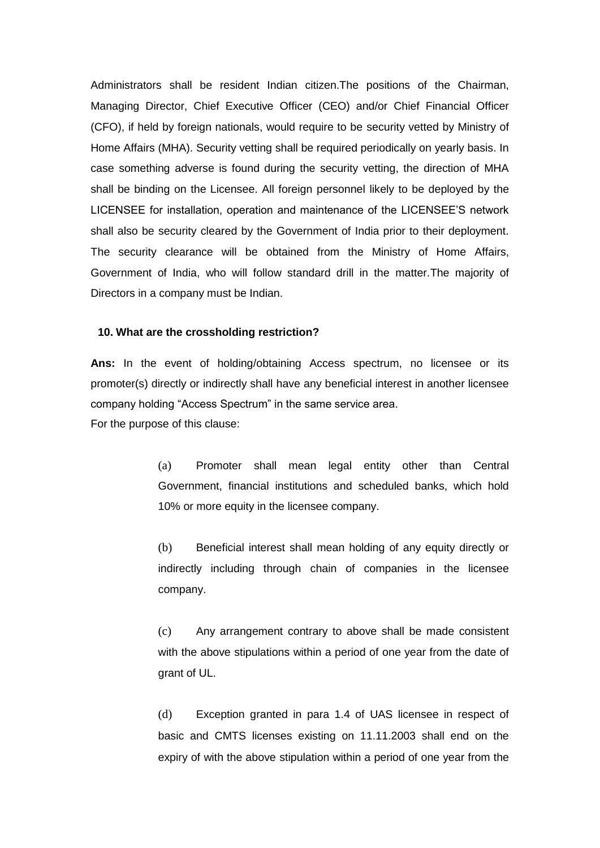Administrators shall be resident Indian citizen.The positions of the Chairman, Managing Director, Chief Executive Officer (CEO) and/or Chief Financial Officer (CFO), if held by foreign nationals, would require to be security vetted by Ministry of Home Affairs (MHA). Security vetting shall be required periodically on yearly basis. In case something adverse is found during the security vetting, the direction of MHA shall be binding on the Licensee. All foreign personnel likely to be deployed by the LICENSEE for installation, operation and maintenance of the LICENSEE'S network shall also be security cleared by the Government of India prior to their deployment. The security clearance will be obtained from the Ministry of Home Affairs, Government of India, who will follow standard drill in the matter.The majority of Directors in a company must be Indian.

#### **10. What are the crossholding restriction?**

**Ans:** In the event of holding/obtaining Access spectrum, no licensee or its promoter(s) directly or indirectly shall have any beneficial interest in another licensee company holding "Access Spectrum" in the same service area. For the purpose of this clause:

> (a) Promoter shall mean legal entity other than Central Government, financial institutions and scheduled banks, which hold 10% or more equity in the licensee company.

> (b) Beneficial interest shall mean holding of any equity directly or indirectly including through chain of companies in the licensee company.

> (c) Any arrangement contrary to above shall be made consistent with the above stipulations within a period of one year from the date of grant of UL.

> (d) Exception granted in para 1.4 of UAS licensee in respect of basic and CMTS licenses existing on 11.11.2003 shall end on the expiry of with the above stipulation within a period of one year from the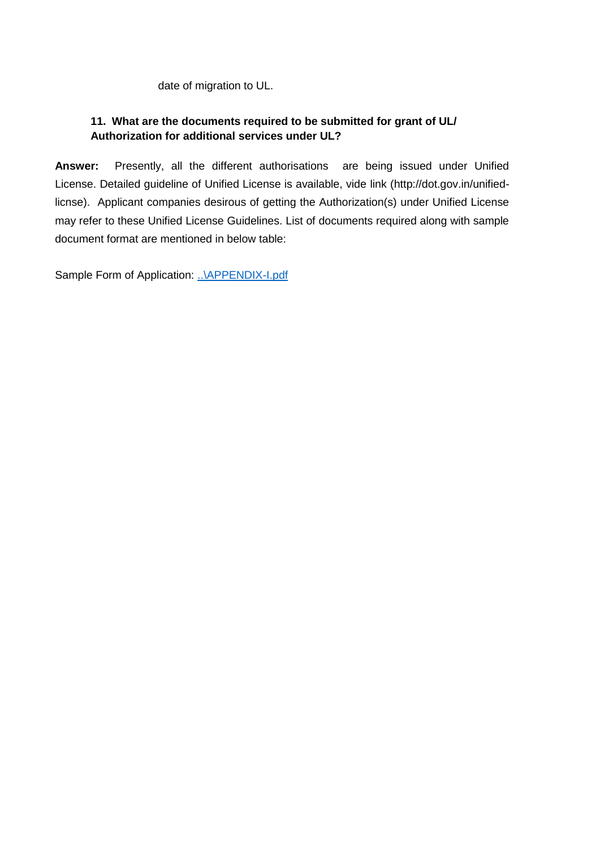date of migration to UL.

# **11. What are the documents required to be submitted for grant of UL/ Authorization for additional services under UL?**

**Answer:** Presently, all the different authorisations are being issued under Unified License. Detailed guideline of Unified License is available, vide link (http://dot.gov.in/unifiedlicnse). Applicant companies desirous of getting the Authorization(s) under Unified License may refer to these Unified License Guidelines. List of documents required along with sample document format are mentioned in below table:

Sample Form of Application: [..\APPENDIX-I.pdf](http://10.192.208.31:8088/circular/licenses_issued/APPENDIX-I.pdf)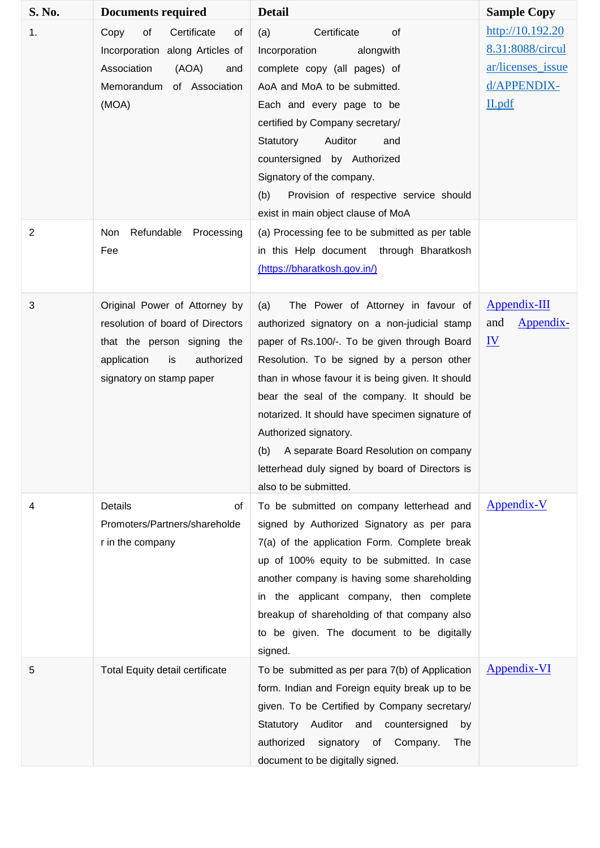| S. No.         | <b>Documents required</b>                                                                                                                                       | <b>Detail</b>                                                                                                                                                                                                                                                                                                                                                                                                                                                                                    | <b>Sample Copy</b>                                                                 |
|----------------|-----------------------------------------------------------------------------------------------------------------------------------------------------------------|--------------------------------------------------------------------------------------------------------------------------------------------------------------------------------------------------------------------------------------------------------------------------------------------------------------------------------------------------------------------------------------------------------------------------------------------------------------------------------------------------|------------------------------------------------------------------------------------|
| 1.             | of<br>Certificate<br>Copy<br>of<br>Incorporation along Articles of<br>Association<br>(AOA)<br>and<br>Memorandum of Association<br>(MOA)                         | (a)<br>Certificate<br>of<br>Incorporation<br>alongwith<br>complete copy (all pages) of<br>AoA and MoA to be submitted.<br>Each and every page to be<br>certified by Company secretary/<br>Auditor<br>Statutory<br>and<br>countersigned by Authorized<br>Signatory of the company.<br>Provision of respective service should<br>(b)<br>exist in main object clause of MoA                                                                                                                         | http://10.192.20<br>8.31:8088/circul<br>ar/licenses issue<br>d/APPENDIX-<br>II.pdf |
| $\overline{2}$ | Refundable<br>Non<br>Processing<br>Fee                                                                                                                          | (a) Processing fee to be submitted as per table<br>in this Help document through Bharatkosh<br>(https://bharatkosh.gov.in/)                                                                                                                                                                                                                                                                                                                                                                      |                                                                                    |
| 3              | Original Power of Attorney by<br>resolution of board of Directors<br>that the person signing the<br>application<br>is<br>authorized<br>signatory on stamp paper | The Power of Attorney in favour of<br>(a)<br>authorized signatory on a non-judicial stamp<br>paper of Rs.100/-. To be given through Board<br>Resolution. To be signed by a person other<br>than in whose favour it is being given. It should<br>bear the seal of the company. It should be<br>notarized. It should have specimen signature of<br>Authorized signatory.<br>(b) A separate Board Resolution on company<br>letterhead duly signed by board of Directors is<br>also to be submitted. | Appendix-III<br>and<br><u>Appendix-</u><br>$\underline{\mathbf{IV}}$               |
| 4              | <b>Details</b><br>οf<br>Promoters/Partners/shareholde<br>r in the company                                                                                       | To be submitted on company letterhead and<br>signed by Authorized Signatory as per para<br>7(a) of the application Form. Complete break<br>up of 100% equity to be submitted. In case<br>another company is having some shareholding<br>in the applicant company, then complete<br>breakup of shareholding of that company also<br>to be given. The document to be digitally<br>signed.                                                                                                          | Appendix-V                                                                         |
| 5              | <b>Total Equity detail certificate</b>                                                                                                                          | To be submitted as per para 7(b) of Application<br>form. Indian and Foreign equity break up to be<br>given. To be Certified by Company secretary/<br>Auditor and<br>Statutory<br>countersigned<br>by<br>signatory of Company.<br>authorized<br>The<br>document to be digitally signed.                                                                                                                                                                                                           | Appendix-VI                                                                        |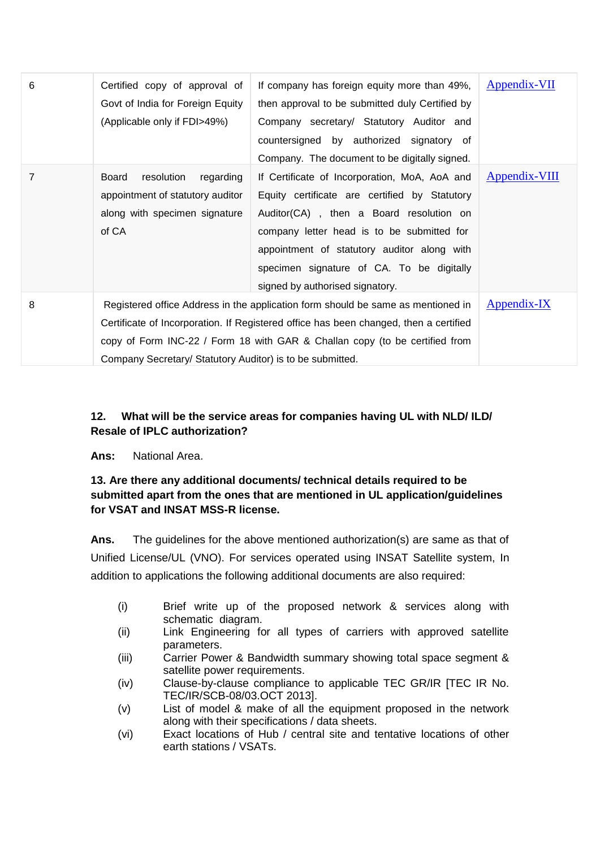| 6 | Certified copy of approval of<br>Govt of India for Foreign Equity<br>(Applicable only if FDI>49%)                                                                                                                                                                                                                     | If company has foreign equity more than 49%,<br>then approval to be submitted duly Certified by<br>Company secretary/ Statutory Auditor and<br>countersigned by authorized signatory of<br>Company. The document to be digitally signed.                                                                               | Appendix-VII         |
|---|-----------------------------------------------------------------------------------------------------------------------------------------------------------------------------------------------------------------------------------------------------------------------------------------------------------------------|------------------------------------------------------------------------------------------------------------------------------------------------------------------------------------------------------------------------------------------------------------------------------------------------------------------------|----------------------|
| 7 | resolution<br>Board<br>regarding<br>appointment of statutory auditor<br>along with specimen signature<br>of CA                                                                                                                                                                                                        | If Certificate of Incorporation, MoA, AoA and<br>Equity certificate are certified by Statutory<br>Auditor(CA), then a Board resolution on<br>company letter head is to be submitted for<br>appointment of statutory auditor along with<br>specimen signature of CA. To be digitally<br>signed by authorised signatory. | <b>Appendix-VIII</b> |
| 8 | Registered office Address in the application form should be same as mentioned in<br>Certificate of Incorporation. If Registered office has been changed, then a certified<br>copy of Form INC-22 / Form 18 with GAR & Challan copy (to be certified from<br>Company Secretary/ Statutory Auditor) is to be submitted. | <u>Appendix-IX</u>                                                                                                                                                                                                                                                                                                     |                      |

# **12. What will be the service areas for companies having UL with NLD/ ILD/ Resale of IPLC authorization?**

**Ans:** National Area.

# **13. Are there any additional documents/ technical details required to be submitted apart from the ones that are mentioned in UL application/guidelines for VSAT and INSAT MSS-R license.**

**Ans.** The guidelines for the above mentioned authorization(s) are same as that of Unified License/UL (VNO). For services operated using INSAT Satellite system, In addition to applications the following additional documents are also required:

- (i) Brief write up of the proposed network & services along with schematic diagram.
- (ii) Link Engineering for all types of carriers with approved satellite parameters.
- (iii) Carrier Power & Bandwidth summary showing total space segment & satellite power requirements.
- (iv) Clause-by-clause compliance to applicable TEC GR/IR [TEC IR No. TEC/IR/SCB-08/03.OCT 2013].
- (v) List of model & make of all the equipment proposed in the network along with their specifications / data sheets.
- (vi) Exact locations of Hub / central site and tentative locations of other earth stations / VSATs.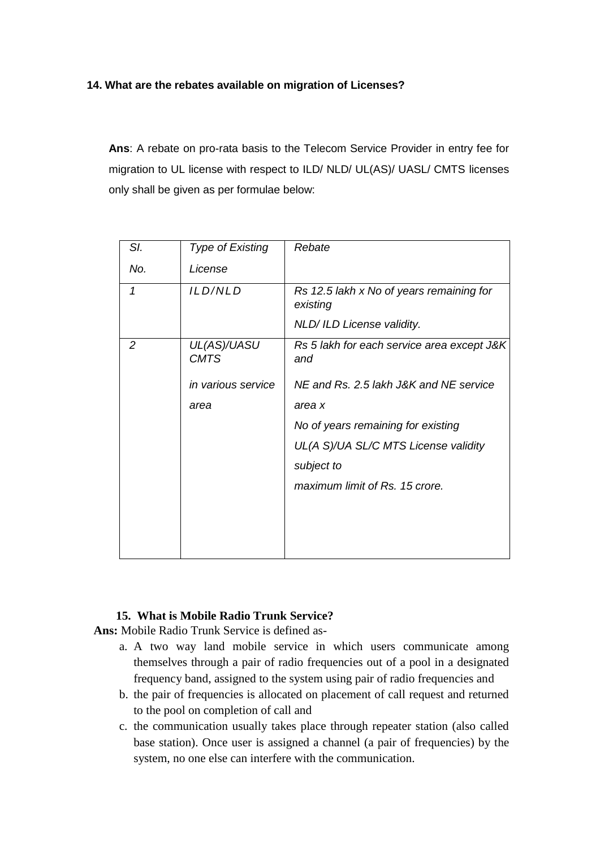### **14. What are the rebates available on migration of Licenses?**

**Ans**: A rebate on pro-rata basis to the Telecom Service Provider in entry fee for migration to UL license with respect to ILD/ NLD/ UL(AS)/ UASL/ CMTS licenses only shall be given as per formulae below:

| SI. | <b>Type of Existing</b>    | Rebate                                                                             |
|-----|----------------------------|------------------------------------------------------------------------------------|
| No. | License                    |                                                                                    |
| 1   | ILD/NLD                    | Rs 12.5 lakh x No of years remaining for<br>existing<br>NLD/ ILD License validity. |
| 2   | UL(AS)/UASU<br><b>CMTS</b> | Rs 5 lakh for each service area except J&K<br>and                                  |
|     | in various service         | NE and Rs. 2.5 lakh J&K and NE service                                             |
|     | area                       | area x                                                                             |
|     |                            | No of years remaining for existing                                                 |
|     |                            | UL(A S)/UA SL/C MTS License validity                                               |
|     |                            | subject to                                                                         |
|     |                            | maximum limit of Rs. 15 crore.                                                     |
|     |                            |                                                                                    |
|     |                            |                                                                                    |
|     |                            |                                                                                    |

#### **15. What is Mobile Radio Trunk Service?**

**Ans:** Mobile Radio Trunk Service is defined as-

- a. A two way land mobile service in which users communicate among themselves through a pair of radio frequencies out of a pool in a designated frequency band, assigned to the system using pair of radio frequencies and
- b. the pair of frequencies is allocated on placement of call request and returned to the pool on completion of call and
- c. the communication usually takes place through repeater station (also called base station). Once user is assigned a channel (a pair of frequencies) by the system, no one else can interfere with the communication.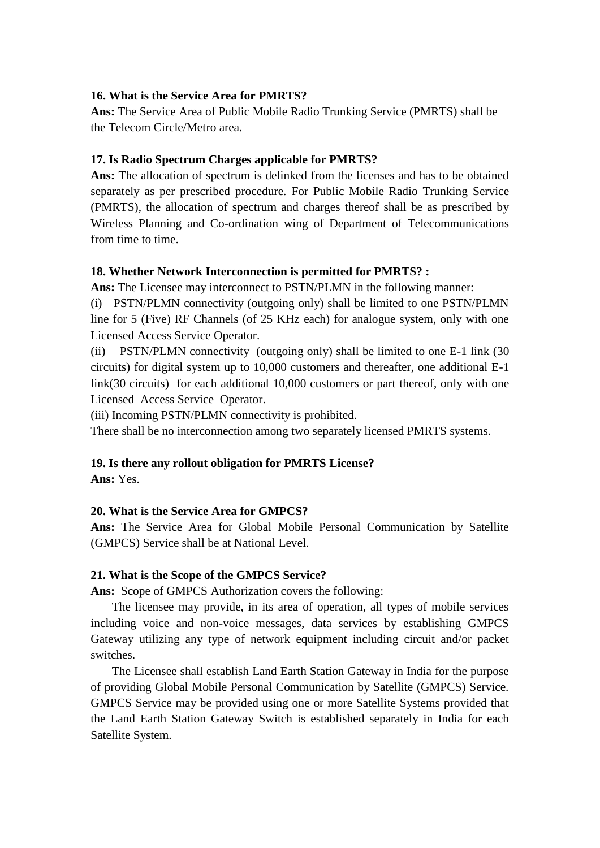#### **16. What is the Service Area for PMRTS?**

**Ans:** The Service Area of Public Mobile Radio Trunking Service (PMRTS) shall be the Telecom Circle/Metro area.

# **17. Is Radio Spectrum Charges applicable for PMRTS?**

**Ans:** The allocation of spectrum is delinked from the licenses and has to be obtained separately as per prescribed procedure. For Public Mobile Radio Trunking Service (PMRTS), the allocation of spectrum and charges thereof shall be as prescribed by Wireless Planning and Co-ordination wing of Department of Telecommunications from time to time.

# **18. Whether Network Interconnection is permitted for PMRTS? :**

**Ans:** The Licensee may interconnect to PSTN/PLMN in the following manner:

(i) PSTN/PLMN connectivity (outgoing only) shall be limited to one PSTN/PLMN line for 5 (Five) RF Channels (of 25 KHz each) for analogue system, only with one Licensed Access Service Operator.

(ii) PSTN/PLMN connectivity (outgoing only) shall be limited to one E-1 link (30 circuits) for digital system up to 10,000 customers and thereafter, one additional E-1 link(30 circuits) for each additional 10,000 customers or part thereof, only with one Licensed Access Service Operator.

(iii) Incoming PSTN/PLMN connectivity is prohibited.

There shall be no interconnection among two separately licensed PMRTS systems.

# **19. Is there any rollout obligation for PMRTS License?**

**Ans:** Yes.

### **20. What is the Service Area for GMPCS?**

**Ans:** The Service Area for Global Mobile Personal Communication by Satellite (GMPCS) Service shall be at National Level.

### **21. What is the Scope of the GMPCS Service?**

**Ans:** Scope of GMPCS Authorization covers the following:

The licensee may provide, in its area of operation, all types of mobile services including voice and non-voice messages, data services by establishing GMPCS Gateway utilizing any type of network equipment including circuit and/or packet switches.

The Licensee shall establish Land Earth Station Gateway in India for the purpose of providing Global Mobile Personal Communication by Satellite (GMPCS) Service. GMPCS Service may be provided using one or more Satellite Systems provided that the Land Earth Station Gateway Switch is established separately in India for each Satellite System.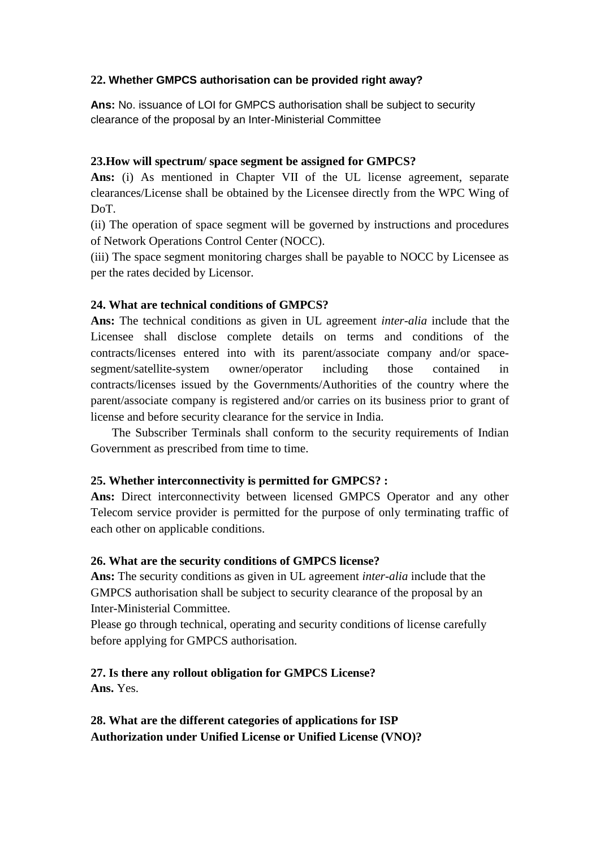### **22. Whether GMPCS authorisation can be provided right away?**

**Ans:** No. issuance of LOI for GMPCS authorisation shall be subject to security clearance of the proposal by an Inter-Ministerial Committee

### **23.How will spectrum/ space segment be assigned for GMPCS?**

**Ans:** (i) As mentioned in Chapter VII of the UL license agreement, separate clearances/License shall be obtained by the Licensee directly from the WPC Wing of DoT.

(ii) The operation of space segment will be governed by instructions and procedures of Network Operations Control Center (NOCC).

(iii) The space segment monitoring charges shall be payable to NOCC by Licensee as per the rates decided by Licensor.

### **24. What are technical conditions of GMPCS?**

**Ans:** The technical conditions as given in UL agreement *inter-alia* include that the Licensee shall disclose complete details on terms and conditions of the contracts/licenses entered into with its parent/associate company and/or spacesegment/satellite-system owner/operator including those contained in contracts/licenses issued by the Governments/Authorities of the country where the parent/associate company is registered and/or carries on its business prior to grant of license and before security clearance for the service in India.

The Subscriber Terminals shall conform to the security requirements of Indian Government as prescribed from time to time.

### **25. Whether interconnectivity is permitted for GMPCS? :**

**Ans:** Direct interconnectivity between licensed GMPCS Operator and any other Telecom service provider is permitted for the purpose of only terminating traffic of each other on applicable conditions.

### **26. What are the security conditions of GMPCS license?**

**Ans:** The security conditions as given in UL agreement *inter-alia* include that the GMPCS authorisation shall be subject to security clearance of the proposal by an Inter-Ministerial Committee.

Please go through technical, operating and security conditions of license carefully before applying for GMPCS authorisation.

### **27. Is there any rollout obligation for GMPCS License? Ans.** Yes.

**28. What are the different categories of applications for ISP Authorization under Unified License or Unified License (VNO)?**